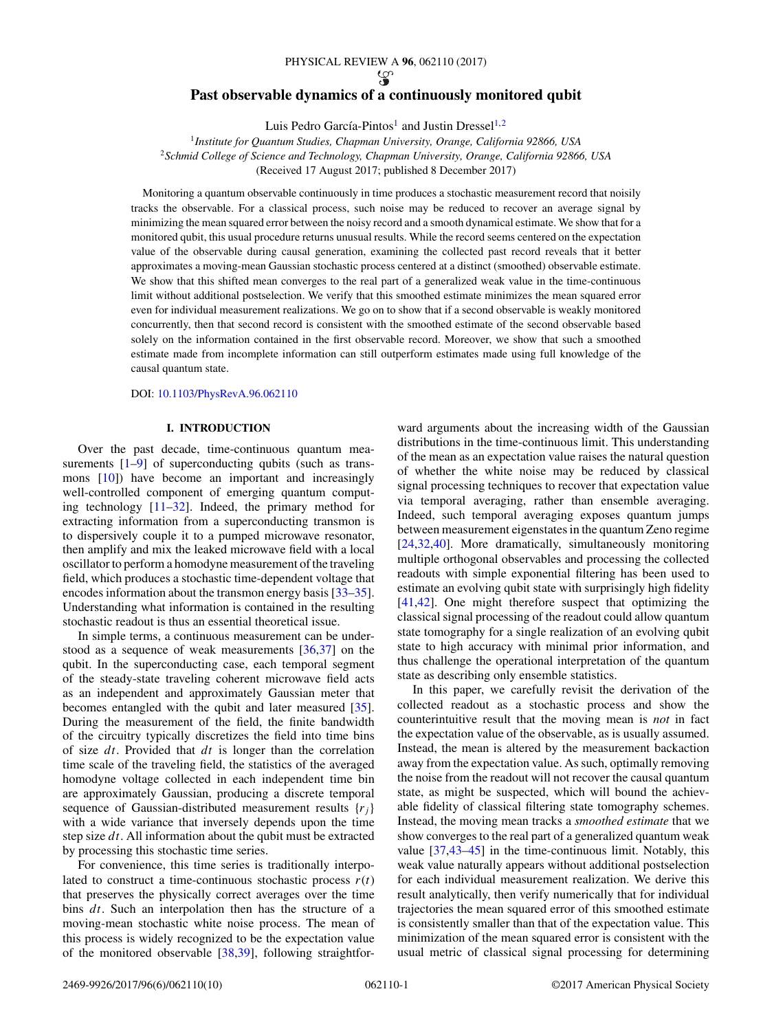### PHYSICAL REVIEW A **96**, 062110 (2017)

# **Past observable dynamics of a continuously monitored qubit**

Luis Pedro García-Pintos<sup>1</sup> and Justin Dressel<sup>1,2</sup>

<sup>1</sup>*Institute for Quantum Studies, Chapman University, Orange, California 92866, USA* <sup>2</sup>*Schmid College of Science and Technology, Chapman University, Orange, California 92866, USA* (Received 17 August 2017; published 8 December 2017)

Monitoring a quantum observable continuously in time produces a stochastic measurement record that noisily tracks the observable. For a classical process, such noise may be reduced to recover an average signal by minimizing the mean squared error between the noisy record and a smooth dynamical estimate. We show that for a monitored qubit, this usual procedure returns unusual results. While the record seems centered on the expectation value of the observable during causal generation, examining the collected past record reveals that it better approximates a moving-mean Gaussian stochastic process centered at a distinct (smoothed) observable estimate. We show that this shifted mean converges to the real part of a generalized weak value in the time-continuous limit without additional postselection. We verify that this smoothed estimate minimizes the mean squared error even for individual measurement realizations. We go on to show that if a second observable is weakly monitored concurrently, then that second record is consistent with the smoothed estimate of the second observable based solely on the information contained in the first observable record. Moreover, we show that such a smoothed estimate made from incomplete information can still outperform estimates made using full knowledge of the causal quantum state.

DOI: [10.1103/PhysRevA.96.062110](https://doi.org/10.1103/PhysRevA.96.062110)

## **I. INTRODUCTION**

Over the past decade, time-continuous quantum measurements  $[1-9]$  $[1-9]$  of superconducting qubits (such as transmons [\[10\]](#page-8-0)) have become an important and increasingly well-controlled component of emerging quantum computing technology [\[11–32\]](#page-8-0). Indeed, the primary method for extracting information from a superconducting transmon is to dispersively couple it to a pumped microwave resonator, then amplify and mix the leaked microwave field with a local oscillator to perform a homodyne measurement of the traveling field, which produces a stochastic time-dependent voltage that encodes information about the transmon energy basis [\[33–35\]](#page-8-0). Understanding what information is contained in the resulting stochastic readout is thus an essential theoretical issue.

In simple terms, a continuous measurement can be understood as a sequence of weak measurements [\[36,37\]](#page-8-0) on the qubit. In the superconducting case, each temporal segment of the steady-state traveling coherent microwave field acts as an independent and approximately Gaussian meter that becomes entangled with the qubit and later measured [\[35\]](#page-8-0). During the measurement of the field, the finite bandwidth of the circuitry typically discretizes the field into time bins of size *dt*. Provided that *dt* is longer than the correlation time scale of the traveling field, the statistics of the averaged homodyne voltage collected in each independent time bin are approximately Gaussian, producing a discrete temporal sequence of Gaussian-distributed measurement results  $\{r_i\}$ with a wide variance that inversely depends upon the time step size *dt*. All information about the qubit must be extracted by processing this stochastic time series.

For convenience, this time series is traditionally interpolated to construct a time-continuous stochastic process  $r(t)$ that preserves the physically correct averages over the time bins *dt*. Such an interpolation then has the structure of a moving-mean stochastic white noise process. The mean of this process is widely recognized to be the expectation value of the monitored observable [\[38,39\]](#page-8-0), following straightforward arguments about the increasing width of the Gaussian distributions in the time-continuous limit. This understanding of the mean as an expectation value raises the natural question of whether the white noise may be reduced by classical signal processing techniques to recover that expectation value via temporal averaging, rather than ensemble averaging. Indeed, such temporal averaging exposes quantum jumps between measurement eigenstates in the quantum Zeno regime [\[24,32](#page-8-0)[,40\]](#page-9-0). More dramatically, simultaneously monitoring multiple orthogonal observables and processing the collected readouts with simple exponential filtering has been used to estimate an evolving qubit state with surprisingly high fidelity [\[41,42\]](#page-9-0). One might therefore suspect that optimizing the classical signal processing of the readout could allow quantum state tomography for a single realization of an evolving qubit state to high accuracy with minimal prior information, and thus challenge the operational interpretation of the quantum state as describing only ensemble statistics.

In this paper, we carefully revisit the derivation of the collected readout as a stochastic process and show the counterintuitive result that the moving mean is *not* in fact the expectation value of the observable, as is usually assumed. Instead, the mean is altered by the measurement backaction away from the expectation value. As such, optimally removing the noise from the readout will not recover the causal quantum state, as might be suspected, which will bound the achievable fidelity of classical filtering state tomography schemes. Instead, the moving mean tracks a *smoothed estimate* that we show converges to the real part of a generalized quantum weak value [\[37](#page-8-0)[,43–45\]](#page-9-0) in the time-continuous limit. Notably, this weak value naturally appears without additional postselection for each individual measurement realization. We derive this result analytically, then verify numerically that for individual trajectories the mean squared error of this smoothed estimate is consistently smaller than that of the expectation value. This minimization of the mean squared error is consistent with the usual metric of classical signal processing for determining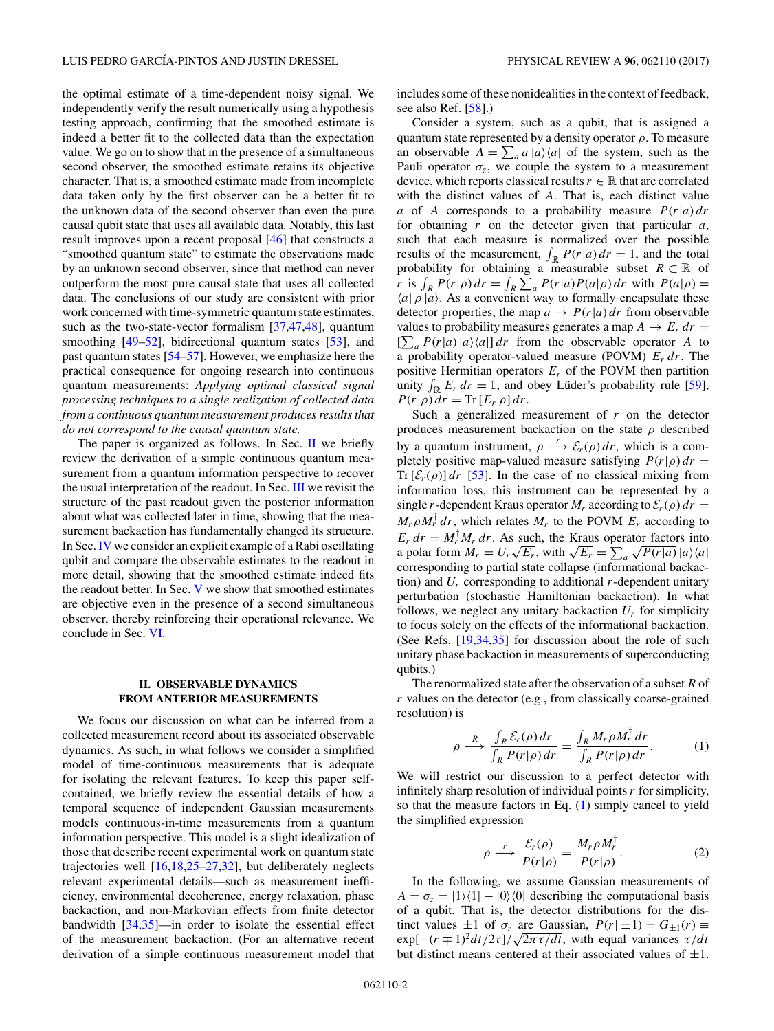the optimal estimate of a time-dependent noisy signal. We independently verify the result numerically using a hypothesis testing approach, confirming that the smoothed estimate is indeed a better fit to the collected data than the expectation value. We go on to show that in the presence of a simultaneous second observer, the smoothed estimate retains its objective character. That is, a smoothed estimate made from incomplete data taken only by the first observer can be a better fit to the unknown data of the second observer than even the pure causal qubit state that uses all available data. Notably, this last result improves upon a recent proposal [\[46\]](#page-9-0) that constructs a "smoothed quantum state" to estimate the observations made by an unknown second observer, since that method can never outperform the most pure causal state that uses all collected data. The conclusions of our study are consistent with prior work concerned with time-symmetric quantum state estimates, such as the two-state-vector formalism [\[37](#page-8-0)[,47,48\]](#page-9-0), quantum smoothing [\[49–52\]](#page-9-0), bidirectional quantum states [\[53\]](#page-9-0), and past quantum states [\[54–57\]](#page-9-0). However, we emphasize here the practical consequence for ongoing research into continuous quantum measurements: *Applying optimal classical signal processing techniques to a single realization of collected data from a continuous quantum measurement produces results that do not correspond to the causal quantum state.*

The paper is organized as follows. In Sec.  $\Pi$  we briefly review the derivation of a simple continuous quantum measurement from a quantum information perspective to recover the usual interpretation of the readout. In Sec. [III](#page-3-0) we revisit the structure of the past readout given the posterior information about what was collected later in time, showing that the measurement backaction has fundamentally changed its structure. In Sec.[IV](#page-4-0) we consider an explicit example of a Rabi oscillating qubit and compare the observable estimates to the readout in more detail, showing that the smoothed estimate indeed fits the readout better. In Sec. [V](#page-5-0) we show that smoothed estimates are objective even in the presence of a second simultaneous observer, thereby reinforcing their operational relevance. We conclude in Sec. [VI.](#page-6-0)

## **II. OBSERVABLE DYNAMICS FROM ANTERIOR MEASUREMENTS**

We focus our discussion on what can be inferred from a collected measurement record about its associated observable dynamics. As such, in what follows we consider a simplified model of time-continuous measurements that is adequate for isolating the relevant features. To keep this paper selfcontained, we briefly review the essential details of how a temporal sequence of independent Gaussian measurements models continuous-in-time measurements from a quantum information perspective. This model is a slight idealization of those that describe recent experimental work on quantum state trajectories well [\[16,18,25–27,32\]](#page-8-0), but deliberately neglects relevant experimental details—such as measurement inefficiency, environmental decoherence, energy relaxation, phase backaction, and non-Markovian effects from finite detector bandwidth [\[34,35\]](#page-8-0)—in order to isolate the essential effect of the measurement backaction. (For an alternative recent derivation of a simple continuous measurement model that includes some of these nonidealities in the context of feedback, see also Ref. [\[58\]](#page-9-0).)

Consider a system, such as a qubit, that is assigned a quantum state represented by a density operator *ρ*. To measure an observable  $A = \sum_a a |a\rangle\langle a|$  of the system, such as the Pauli operator  $\sigma_z$ , we couple the system to a measurement device, which reports classical results  $r \in \mathbb{R}$  that are correlated with the distinct values of *A*. That is, each distinct value *a* of *A* corresponds to a probability measure  $P(r|a) dr$ for obtaining *r* on the detector given that particular *a*, such that each measure is normalized over the possible results of the measurement,  $\int_{\mathbb{R}} P(r|a) dr = 1$ , and the total probability for obtaining a measurable subset  $R \subset \mathbb{R}$  of *r* is  $\int_R P(r|\rho) dr = \int_R \sum_a P(r|a)P(a|\rho) dr$  with  $P(a|\rho) =$  $\langle a | \rho | a \rangle$ . As a convenient way to formally encapsulate these detector properties, the map  $a \rightarrow P(r|a) dr$  from observable values to probability measures generates a map  $A \rightarrow E_r dr =$  $\sum_{a} P(r|a) |a\rangle\langle a| d$  from the observable operator *A* to a probability operator-valued measure (POVM) *Er dr*. The positive Hermitian operators *Er* of the POVM then partition unity  $\int_{\mathbb{R}} E_r dr = \mathbb{1}$ , and obey Lüder's probability rule [\[59\]](#page-9-0),  $P(r|\rho) dr = \text{Tr}[E_r \rho] dr$ .

Such a generalized measurement of *r* on the detector produces measurement backaction on the state *ρ* described by a quantum instrument,  $\rho \longrightarrow \mathcal{E}_r(\rho) dr$ , which is a completely positive map-valued measure satisfying  $P(r|\rho) dr =$  $Tr[\mathcal{E}_r(\rho)] dr$  [\[53\]](#page-9-0). In the case of no classical mixing from information loss, this instrument can be represented by a single *r*-dependent Kraus operator  $M_r$  according to  $\mathcal{E}_r(\rho) dr =$  $M_r \rho M_r^{\dagger} dr$ , which relates  $M_r$  to the POVM  $E_r$  according to  $E_r dr = M_r^{\dagger} M_r dr$ . As such, the Kraus operator factors into  $E_r$  *ar* = *M<sub>r</sub> M<sub>r</sub> ar*. As such, the Kraus operator a polar form  $M_r = U_r \sqrt{E_r}$ , with  $\sqrt{E_r} = \sum$  $\sum_{a} \sqrt{P(r|a)} |a\rangle\langle a|$ corresponding to partial state collapse (informational backaction) and  $U_r$  corresponding to additional  $r$ -dependent unitary perturbation (stochastic Hamiltonian backaction). In what follows, we neglect any unitary backaction  $U_r$  for simplicity to focus solely on the effects of the informational backaction. (See Refs. [\[19,34,35\]](#page-8-0) for discussion about the role of such unitary phase backaction in measurements of superconducting qubits.)

The renormalized state after the observation of a subset *R* of *r* values on the detector (e.g., from classically coarse-grained resolution) is

$$
\rho \xrightarrow{R} \frac{\int_{R} \mathcal{E}_{r}(\rho) dr}{\int_{R} P(r|\rho) dr} = \frac{\int_{R} M_{r} \rho M_{r}^{\dagger} dr}{\int_{R} P(r|\rho) dr}.
$$
 (1)

We will restrict our discussion to a perfect detector with infinitely sharp resolution of individual points *r* for simplicity, so that the measure factors in Eq. (1) simply cancel to yield the simplified expression

$$
\rho \xrightarrow{r} \frac{\mathcal{E}_r(\rho)}{P(r|\rho)} = \frac{M_r \rho M_r^{\dagger}}{P(r|\rho)}.
$$
 (2)

In the following, we assume Gaussian measurements of  $A = \sigma_z = |1\rangle\langle 1| - |0\rangle\langle 0|$  describing the computational basis of a qubit. That is, the detector distributions for the distinct values  $\pm 1$  of  $\sigma_z$  are Gaussian,  $P(r | \pm 1) = G_{\pm 1}(r) \equiv$ exp[ $-(r \mp 1)^2 dt/2\tau$ ]/ $\sqrt{2\pi \tau/dt}$ , with equal variances  $\tau/dt$ but distinct means centered at their associated values of  $\pm 1$ .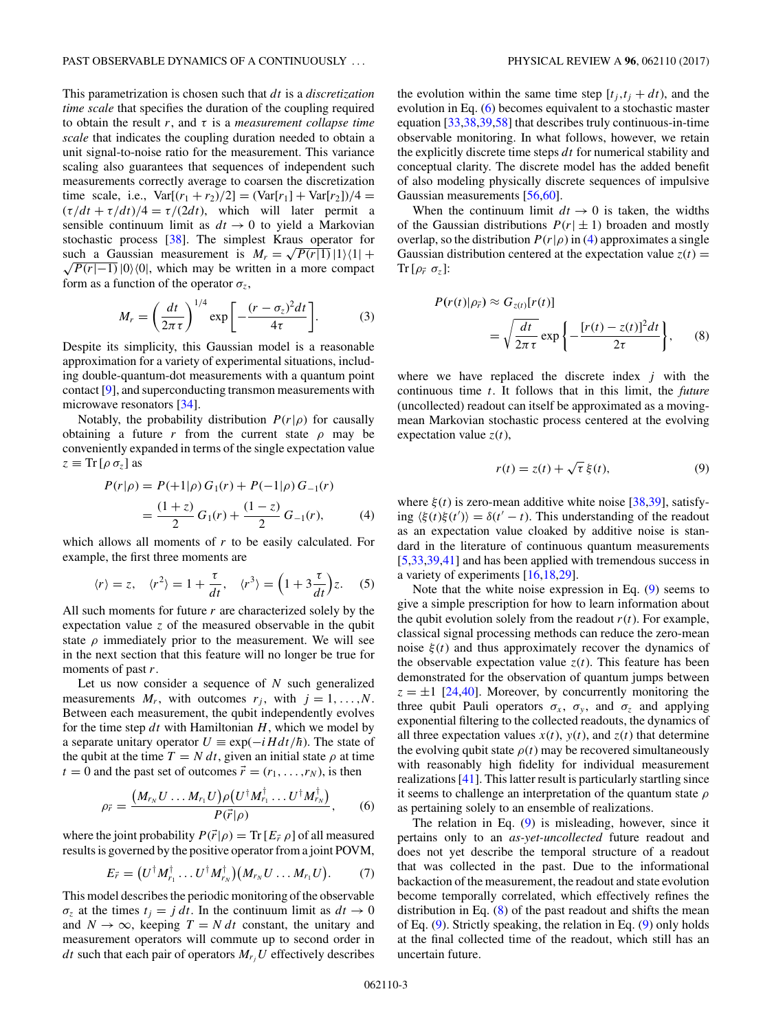<span id="page-2-0"></span>This parametrization is chosen such that *dt* is a *discretization time scale* that specifies the duration of the coupling required to obtain the result *r*, and *τ* is a *measurement collapse time scale* that indicates the coupling duration needed to obtain a unit signal-to-noise ratio for the measurement. This variance scaling also guarantees that sequences of independent such measurements correctly average to coarsen the discretization time scale, i.e.,  $Var[(r_1 + r_2)/2] = (Var[r_1] + Var[r_2])/4 =$  $(\tau/dt + \tau/dt)/4 = \tau/(2dt)$ , which will later permit a sensible continuum limit as  $dt \rightarrow 0$  to yield a Markovian stochastic process [\[38\]](#page-8-0). The simplest Kraus operator for stochastic process [38]. The simplest Kraus operator for<br>such a Gaussian measurement is  $M_r = \sqrt{P(r|1)}|1\rangle\langle1| +$  $\overline{P(r|-1)}$  |0) $\langle 0|$ , which may be written in a more compact form as a function of the operator  $\sigma_z$ ,

$$
M_r = \left(\frac{dt}{2\pi\tau}\right)^{1/4} \exp\left[-\frac{(r-\sigma_z)^2 dt}{4\tau}\right].
$$
 (3)

Despite its simplicity, this Gaussian model is a reasonable approximation for a variety of experimental situations, including double-quantum-dot measurements with a quantum point contact [\[9\]](#page-8-0), and superconducting transmon measurements with microwave resonators [\[34\]](#page-8-0).

Notably, the probability distribution  $P(r|\rho)$  for causally obtaining a future *r* from the current state  $\rho$  may be conveniently expanded in terms of the single expectation value  $z \equiv \text{Tr} [\rho \sigma_z]$  as

$$
P(r|\rho) = P(+1|\rho) G_1(r) + P(-1|\rho) G_{-1}(r)
$$
  
= 
$$
\frac{(1+z)}{2} G_1(r) + \frac{(1-z)}{2} G_{-1}(r),
$$
 (4)

which allows all moments of *r* to be easily calculated. For example, the first three moments are

$$
\langle r \rangle = z, \quad \langle r^2 \rangle = 1 + \frac{\tau}{dt}, \quad \langle r^3 \rangle = \left( 1 + 3 \frac{\tau}{dt} \right) z.
$$
 (5)

All such moments for future *r* are characterized solely by the expectation value *z* of the measured observable in the qubit state  $\rho$  immediately prior to the measurement. We will see in the next section that this feature will no longer be true for moments of past *r*.

Let us now consider a sequence of *N* such generalized measurements  $M_r$ , with outcomes  $r_j$ , with  $j = 1, \ldots, N$ . Between each measurement, the qubit independently evolves for the time step *dt* with Hamiltonian *H*, which we model by a separate unitary operator  $U \equiv \exp(-iHdt/\hbar)$ . The state of the qubit at the time  $T = N dt$ , given an initial state  $\rho$  at time  $t = 0$  and the past set of outcomes  $\vec{r} = (r_1, \dots, r_N)$ , is then

$$
\rho_{\vec{r}} = \frac{(M_{r_N}U \dots M_{r_1}U)\rho(U^{\dagger}M_{r_1}^{\dagger}\dots U^{\dagger}M_{r_N}^{\dagger})}{P(\vec{r}|\rho)},\qquad(6)
$$

where the joint probability  $P(\vec{r}|\rho) = \text{Tr}[E_{\vec{r}} \rho]$  of all measured results is governed by the positive operator from a joint POVM,

$$
E_{\vec{r}} = (U^{\dagger} M_{r_1}^{\dagger} \dots U^{\dagger} M_{r_N}^{\dagger})(M_{r_N} U \dots M_{r_1} U). \tag{7}
$$

This model describes the periodic monitoring of the observable  $\sigma_z$  at the times  $t_j = j dt$ . In the continuum limit as  $dt \to 0$ and  $N \to \infty$ , keeping  $T = N dt$  constant, the unitary and measurement operators will commute up to second order in *dt* such that each pair of operators  $M_{r_i}U$  effectively describes the evolution within the same time step  $[t_j, t_j + dt)$ , and the evolution in Eq. (6) becomes equivalent to a stochastic master equation [\[33,38,39,](#page-8-0)[58\]](#page-9-0) that describes truly continuous-in-time observable monitoring. In what follows, however, we retain the explicitly discrete time steps *dt* for numerical stability and conceptual clarity. The discrete model has the added benefit of also modeling physically discrete sequences of impulsive Gaussian measurements [\[56,60\]](#page-9-0).

When the continuum limit  $dt \rightarrow 0$  is taken, the widths of the Gaussian distributions  $P(r | \pm 1)$  broaden and mostly overlap, so the distribution  $P(r|\rho)$  in (4) approximates a single Gaussian distribution centered at the expectation value  $z(t)$  =  $\text{Tr}\left[\rho_{\vec{r}}\,\,\sigma_{z}\right]$ :

$$
P(r(t)|\rho_{\vec{r}}) \approx G_{z(t)}[r(t)]
$$
  
=  $\sqrt{\frac{dt}{2\pi\tau}} \exp\left\{-\frac{[r(t) - z(t)]^2 dt}{2\tau}\right\},$  (8)

where we have replaced the discrete index *j* with the continuous time *t*. It follows that in this limit, the *future* (uncollected) readout can itself be approximated as a movingmean Markovian stochastic process centered at the evolving expectation value  $z(t)$ ,

$$
r(t) = z(t) + \sqrt{\tau} \,\xi(t),\tag{9}
$$

where  $\xi(t)$  is zero-mean additive white noise [\[38,39\]](#page-8-0), satisfying  $\langle \xi(t)\xi(t') \rangle = \delta(t'-t)$ . This understanding of the readout as an expectation value cloaked by additive noise is standard in the literature of continuous quantum measurements [\[5,](#page-7-0)[33,39](#page-8-0)[,41\]](#page-9-0) and has been applied with tremendous success in a variety of experiments [\[16,18,29\]](#page-8-0).

Note that the white noise expression in Eq. (9) seems to give a simple prescription for how to learn information about the qubit evolution solely from the readout  $r(t)$ . For example, classical signal processing methods can reduce the zero-mean noise  $\xi(t)$  and thus approximately recover the dynamics of the observable expectation value  $z(t)$ . This feature has been demonstrated for the observation of quantum jumps between  $z = \pm 1$  [\[24](#page-8-0)[,40\]](#page-9-0). Moreover, by concurrently monitoring the three qubit Pauli operators  $\sigma_x$ ,  $\sigma_y$ , and  $\sigma_z$  and applying exponential filtering to the collected readouts, the dynamics of all three expectation values  $x(t)$ ,  $y(t)$ , and  $z(t)$  that determine the evolving qubit state  $\rho(t)$  may be recovered simultaneously with reasonably high fidelity for individual measurement realizations [\[41\]](#page-9-0). This latter result is particularly startling since it seems to challenge an interpretation of the quantum state *ρ* as pertaining solely to an ensemble of realizations.

The relation in Eq. (9) is misleading, however, since it pertains only to an *as-yet-uncollected* future readout and does not yet describe the temporal structure of a readout that was collected in the past. Due to the informational backaction of the measurement, the readout and state evolution become temporally correlated, which effectively refines the distribution in Eq.  $(8)$  of the past readout and shifts the mean of Eq. (9). Strictly speaking, the relation in Eq. (9) only holds at the final collected time of the readout, which still has an uncertain future.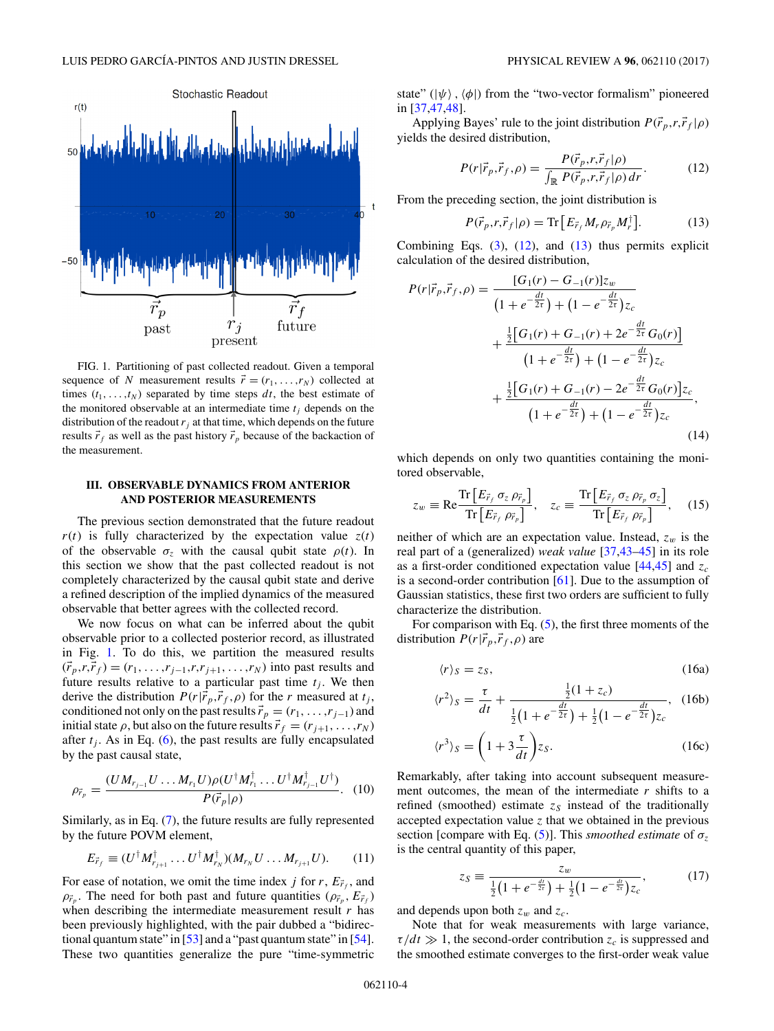<span id="page-3-0"></span>

FIG. 1. Partitioning of past collected readout. Given a temporal sequence of *N* measurement results  $\vec{r} = (r_1, \dots, r_N)$  collected at times  $(t_1, \ldots, t_N)$  separated by time steps  $dt$ , the best estimate of the monitored observable at an intermediate time  $t_i$  depends on the distribution of the readout  $r_i$  at that time, which depends on the future results  $\vec{r}_f$  as well as the past history  $\vec{r}_p$  because of the backaction of the measurement.

### **III. OBSERVABLE DYNAMICS FROM ANTERIOR AND POSTERIOR MEASUREMENTS**

The previous section demonstrated that the future readout  $r(t)$  is fully characterized by the expectation value  $z(t)$ of the observable  $\sigma_z$  with the causal qubit state  $\rho(t)$ . In this section we show that the past collected readout is not completely characterized by the causal qubit state and derive a refined description of the implied dynamics of the measured observable that better agrees with the collected record.

We now focus on what can be inferred about the qubit observable prior to a collected posterior record, as illustrated in Fig. 1. To do this, we partition the measured results  $(\vec{r}_p, r, \vec{r}_f) = (r_1, \dots, r_{j-1}, r, r_{j+1}, \dots, r_N)$  into past results and future results relative to a particular past time  $t_i$ . We then derive the distribution  $P(r|\vec{r}_p, \vec{r}_f, \rho)$  for the *r* measured at  $t_j$ , conditioned not only on the past results  $\vec{r}_p = (r_1, \ldots, r_{j-1})$  and initial state  $\rho$ , but also on the future results  $\vec{r}_f = (r_{j+1}, \dots, r_N)$ after  $t_j$ . As in Eq. [\(6\)](#page-2-0), the past results are fully encapsulated by the past causal state,

$$
\rho_{\vec{r}_p} = \frac{(U M_{r_{j-1}} U \dots M_{r_1} U) \rho (U^{\dagger} M_{r_1}^{\dagger} \dots U^{\dagger} M_{r_{j-1}}^{\dagger} U^{\dagger})}{P(\vec{r}_p | \rho)}.
$$
 (10)

Similarly, as in Eq. [\(7\)](#page-2-0), the future results are fully represented by the future POVM element,

$$
E_{\vec{r}_f} \equiv (U^{\dagger} M_{r_{j+1}}^{\dagger} \dots U^{\dagger} M_{r_N}^{\dagger}) (M_{r_N} U \dots M_{r_{j+1}} U). \qquad (11)
$$

For ease of notation, we omit the time index  $j$  for  $r$ ,  $E_{\vec{r}_f}$ , and  $\rho_{\vec{r}_p}$ . The need for both past and future quantities  $(\rho_{\vec{r}_p}, E_{\vec{r}_f})$ when describing the intermediate measurement result *r* has been previously highlighted, with the pair dubbed a "bidirec-tional quantum state" in [\[53\]](#page-9-0) and a "past quantum state" in [\[54\]](#page-9-0). These two quantities generalize the pure "time-symmetric state"  $(|\psi\rangle, \langle \phi|)$  from the "two-vector formalism" pioneered in [\[37](#page-8-0)[,47,48\]](#page-9-0).

Applying Bayes' rule to the joint distribution  $P(\vec{r}_p, r, \vec{r}_f | \rho)$ yields the desired distribution,

$$
P(r|\vec{r}_p, \vec{r}_f, \rho) = \frac{P(\vec{r}_p, r, \vec{r}_f | \rho)}{\int_{\mathbb{R}} P(\vec{r}_p, r, \vec{r}_f | \rho) dr}.
$$
 (12)

From the preceding section, the joint distribution is

$$
P(\vec{r}_p, r, \vec{r}_f | \rho) = \text{Tr} \left[ E_{\vec{r}_f} M_r \rho_{\vec{r}_p} M_r^{\dagger} \right]. \tag{13}
$$

Combining Eqs.  $(3)$ ,  $(12)$ , and  $(13)$  thus permits explicit calculation of the desired distribution,

$$
P(r|\vec{r}_p, \vec{r}_f, \rho) = \frac{[G_1(r) - G_{-1}(r)]z_w}{\left(1 + e^{-\frac{dt}{2\tau}}\right) + \left(1 - e^{-\frac{dt}{2\tau}}\right)z_c} + \frac{\frac{1}{2}\left[G_1(r) + G_{-1}(r) + 2e^{-\frac{dt}{2\tau}}G_0(r)\right]}{\left(1 + e^{-\frac{dt}{2\tau}}\right) + \left(1 - e^{-\frac{dt}{2\tau}}\right)z_c} + \frac{\frac{1}{2}\left[G_1(r) + G_{-1}(r) - 2e^{-\frac{dt}{2\tau}}G_0(r)\right]z_c}{\left(1 + e^{-\frac{dt}{2\tau}}\right) + \left(1 - e^{-\frac{dt}{2\tau}}\right)z_c},\tag{14}
$$

which depends on only two quantities containing the monitored observable,

$$
z_w \equiv \text{Re} \frac{\text{Tr}\left[E_{\vec{r}_f} \sigma_z \rho_{\vec{r}_p}\right]}{\text{Tr}\left[E_{\vec{r}_f} \rho_{\vec{r}_p}\right]}, \quad z_c \equiv \frac{\text{Tr}\left[E_{\vec{r}_f} \sigma_z \rho_{\vec{r}_p} \sigma_z\right]}{\text{Tr}\left[E_{\vec{r}_f} \rho_{\vec{r}_p}\right]}, \quad (15)
$$

neither of which are an expectation value. Instead,  $z_w$  is the real part of a (generalized) *weak value* [\[37](#page-8-0)[,43–45\]](#page-9-0) in its role as a first-order conditioned expectation value  $[44, 45]$  and  $z_c$ is a second-order contribution [\[61\]](#page-9-0). Due to the assumption of Gaussian statistics, these first two orders are sufficient to fully characterize the distribution.

For comparison with Eq.  $(5)$ , the first three moments of the distribution  $P(r|\vec{r}_p, \vec{r}_f, \rho)$  are

$$
\langle r \rangle_S = z_S, \tag{16a}
$$

$$
\langle r^2 \rangle_S = \frac{\tau}{dt} + \frac{\frac{1}{2}(1+z_c)}{\frac{1}{2}(1+e^{-\frac{dt}{2\tau}}) + \frac{1}{2}(1-e^{-\frac{dt}{2\tau}})z_c}, \quad (16b)
$$

$$
r^3 \rangle_S = \left(1 + 3\frac{\tau}{dt}\right) z_S. \tag{16c}
$$

Remarkably, after taking into account subsequent measurement outcomes, the mean of the intermediate  $r$  shifts to a refined (smoothed) estimate  $z_s$  instead of the traditionally accepted expectation value *z* that we obtained in the previous section [compare with Eq. [\(5\)](#page-2-0)]. This *smoothed estimate* of  $\sigma_z$ is the central quantity of this paper,

$$
z_S \equiv \frac{z_w}{\frac{1}{2}(1 + e^{-\frac{dt}{2\tau}}) + \frac{1}{2}(1 - e^{-\frac{dt}{2\tau}})z_c},
$$
(17)

and depends upon both *zw* and *zc*.

*r*<sup>3</sup>

Note that for weak measurements with large variance,  $\tau/dt \gg 1$ , the second-order contribution  $z_c$  is suppressed and the smoothed estimate converges to the first-order weak value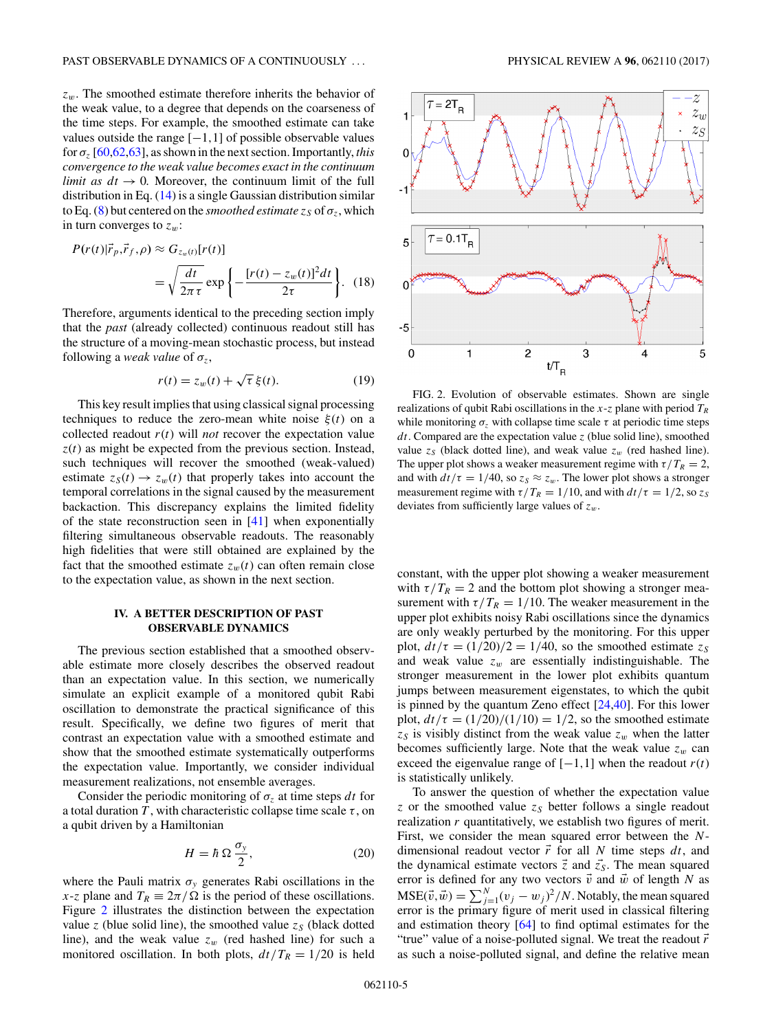<span id="page-4-0"></span>*zw*. The smoothed estimate therefore inherits the behavior of the weak value, to a degree that depends on the coarseness of the time steps. For example, the smoothed estimate can take values outside the range [−1*,*1] of possible observable values for *σz* [\[60,62,63\]](#page-9-0), as shown in the next section. Importantly, *this convergence to the weak value becomes exact in the continuum limit as*  $dt \rightarrow 0$ *.* Moreover, the continuum limit of the full distribution in Eq. [\(14\)](#page-3-0) is a single Gaussian distribution similar to Eq. [\(8\)](#page-2-0) but centered on the *smoothed estimate*  $z_S$  of  $\sigma_z$ , which in turn converges to  $z_w$ :

$$
P(r(t)|\vec{r}_p, \vec{r}_f, \rho) \approx G_{z_w(t)}[r(t)]
$$
  
=  $\sqrt{\frac{dt}{2\pi \tau}} \exp\left\{-\frac{[r(t) - z_w(t)]^2 dt}{2\tau}\right\}$ . (18)

Therefore, arguments identical to the preceding section imply that the *past* (already collected) continuous readout still has the structure of a moving-mean stochastic process, but instead following a *weak value* of  $\sigma_z$ ,

$$
r(t) = z_w(t) + \sqrt{\tau} \,\xi(t). \tag{19}
$$

This key result implies that using classical signal processing techniques to reduce the zero-mean white noise  $\xi(t)$  on a collected readout  $r(t)$  will *not* recover the expectation value  $z(t)$  as might be expected from the previous section. Instead, such techniques will recover the smoothed (weak-valued) estimate  $z_S(t) \rightarrow z_w(t)$  that properly takes into account the temporal correlations in the signal caused by the measurement backaction. This discrepancy explains the limited fidelity of the state reconstruction seen in [\[41\]](#page-9-0) when exponentially filtering simultaneous observable readouts. The reasonably high fidelities that were still obtained are explained by the fact that the smoothed estimate  $z_w(t)$  can often remain close to the expectation value, as shown in the next section.

### **IV. A BETTER DESCRIPTION OF PAST OBSERVABLE DYNAMICS**

The previous section established that a smoothed observable estimate more closely describes the observed readout than an expectation value. In this section, we numerically simulate an explicit example of a monitored qubit Rabi oscillation to demonstrate the practical significance of this result. Specifically, we define two figures of merit that contrast an expectation value with a smoothed estimate and show that the smoothed estimate systematically outperforms the expectation value. Importantly, we consider individual measurement realizations, not ensemble averages.

Consider the periodic monitoring of  $\sigma$ <sub>z</sub> at time steps *dt* for a total duration *T*, with characteristic collapse time scale  $\tau$ , on a qubit driven by a Hamiltonian

$$
H = \hbar \, \Omega \, \frac{\sigma_y}{2},\tag{20}
$$

where the Pauli matrix  $\sigma_y$  generates Rabi oscillations in the *x*-*z* plane and  $T_R \equiv 2\pi/\Omega$  is the period of these oscillations. Figure 2 illustrates the distinction between the expectation value  $z$  (blue solid line), the smoothed value  $z_S$  (black dotted line), and the weak value  $z_w$  (red hashed line) for such a monitored oscillation. In both plots,  $dt/T_R = 1/20$  is held



FIG. 2. Evolution of observable estimates. Shown are single realizations of qubit Rabi oscillations in the  $x$ -*z* plane with period  $T_R$ while monitoring  $\sigma$ <sub>z</sub> with collapse time scale  $\tau$  at periodic time steps *dt*. Compared are the expectation value *z* (blue solid line), smoothed value  $z_s$  (black dotted line), and weak value  $z_w$  (red hashed line). The upper plot shows a weaker measurement regime with  $\tau/T_R = 2$ , and with  $dt/\tau = 1/40$ , so  $z_s \approx z_w$ . The lower plot shows a stronger measurement regime with  $\tau/T_R = 1/10$ , and with  $dt/\tau = 1/2$ , so  $z_S$ deviates from sufficiently large values of *zw*.

constant, with the upper plot showing a weaker measurement with  $\tau/T_R = 2$  and the bottom plot showing a stronger measurement with  $\tau/T_R = 1/10$ . The weaker measurement in the upper plot exhibits noisy Rabi oscillations since the dynamics are only weakly perturbed by the monitoring. For this upper plot,  $dt/\tau = (1/20)/2 = 1/40$ , so the smoothed estimate  $z_s$ and weak value  $z_w$  are essentially indistinguishable. The stronger measurement in the lower plot exhibits quantum jumps between measurement eigenstates, to which the qubit is pinned by the quantum Zeno effect [\[24,](#page-8-0)[40\]](#page-9-0). For this lower plot,  $dt/\tau = (1/20)/(1/10) = 1/2$ , so the smoothed estimate  $z<sub>S</sub>$  is visibly distinct from the weak value  $z<sub>w</sub>$  when the latter becomes sufficiently large. Note that the weak value  $z_w$  can exceed the eigenvalue range of  $[-1,1]$  when the readout  $r(t)$ is statistically unlikely.

To answer the question of whether the expectation value *z* or the smoothed value  $z_s$  better follows a single readout realization *r* quantitatively, we establish two figures of merit. First, we consider the mean squared error between the *N*dimensional readout vector  $\vec{r}$  for all *N* time steps  $dt$ , and the dynamical estimate vectors  $\vec{z}$  and  $\vec{z_s}$ . The mean squared error is defined for any two vectors  $\vec{v}$  and  $\vec{w}$  of length *N* as  $MSE(\vec{v}, \vec{w}) = \sum_{j=1}^{N} (v_j - w_j)^2 / N$ . Notably, the mean squared error is the primary figure of merit used in classical filtering and estimation theory [\[64\]](#page-9-0) to find optimal estimates for the "true" value of a noise-polluted signal. We treat the readout *r* as such a noise-polluted signal, and define the relative mean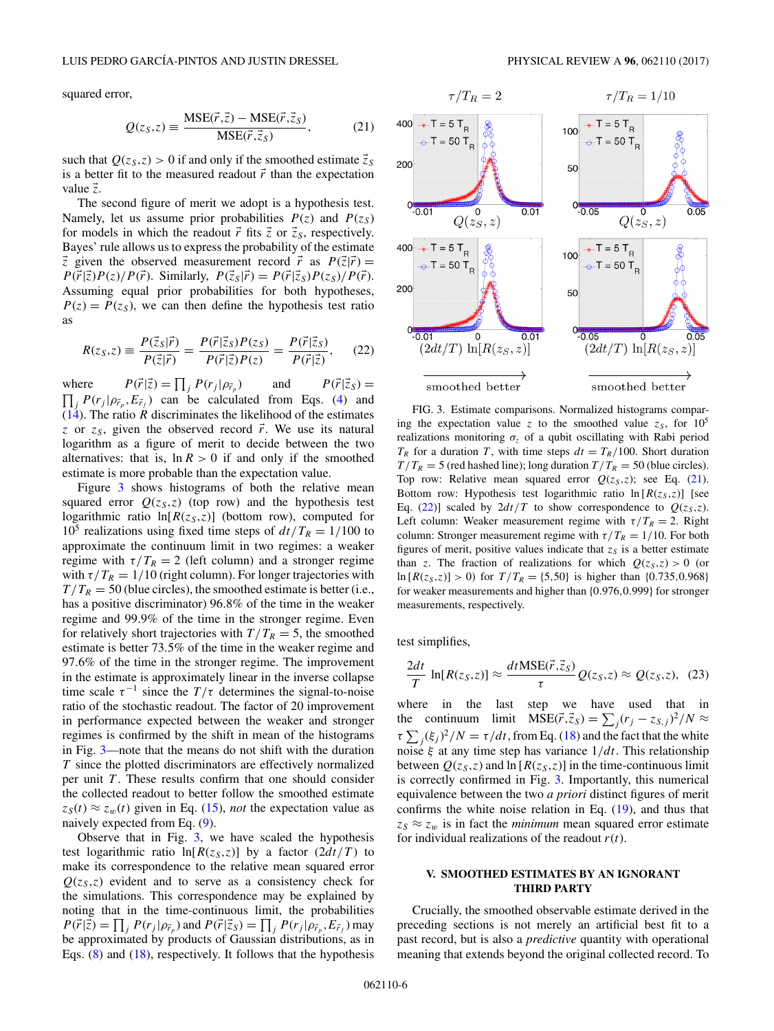<span id="page-5-0"></span>squared error,

$$
Q(z_S, z) \equiv \frac{\text{MSE}(\vec{r}, \vec{z}) - \text{MSE}(\vec{r}, \vec{z}_S)}{\text{MSE}(\vec{r}, \vec{z}_S)},
$$
(21)

such that  $Q(z_S, z) > 0$  if and only if the smoothed estimate  $\vec{z}_S$ is a better fit to the measured readout  $\vec{r}$  than the expectation value *z* .

The second figure of merit we adopt is a hypothesis test. Namely, let us assume prior probabilities  $P(z)$  and  $P(z<sub>S</sub>)$ for models in which the readout  $\vec{r}$  fits  $\vec{z}$  or  $\vec{z}_s$ , respectively. Bayes' rule allows us to express the probability of the estimate  $\vec{z}$  given the observed measurement record  $\vec{r}$  as  $P(\vec{z}|\vec{r}) =$  $P(\vec{r}|\vec{z})P(z)/P(\vec{r})$ . Similarly,  $P(\vec{z}_s|\vec{r}) = P(\vec{r}|\vec{z}_s)P(z_s)/P(\vec{r})$ . Assuming equal prior probabilities for both hypotheses,  $P(z) = P(z<sub>S</sub>)$ , we can then define the hypothesis test ratio as

$$
R(z_S, z) \equiv \frac{P(\vec{z}_S|\vec{r})}{P(\vec{z}|\vec{r})} = \frac{P(\vec{r}|\vec{z}_S)P(z_S)}{P(\vec{r}|\vec{z})P(z)} = \frac{P(\vec{r}|\vec{z}_S)}{P(\vec{r}|\vec{z})},\qquad(22)
$$

 $where$  $|\vec{z}) = \prod_j P(r_j | \rho_{\vec{r}})$ *<sup>p</sup>* ) and *P*(*r*  $|\vec{z}_S\rangle =$  $\prod_j P(r_j | \rho_{\vec{r}_p}, E_{\vec{r}_f})$  can be calculated from Eqs. [\(4\)](#page-2-0) and  $(14)$ . The ratio *R* discriminates the likelihood of the estimates *z* or  $z_s$ , given the observed record  $\vec{r}$ . We use its natural logarithm as a figure of merit to decide between the two alternatives: that is,  $\ln R > 0$  if and only if the smoothed estimate is more probable than the expectation value.

Figure 3 shows histograms of both the relative mean squared error  $Q(z_S, z)$  (top row) and the hypothesis test logarithmic ratio  $ln[R(z<sub>S</sub>,z)]$  (bottom row), computed for 10<sup>5</sup> realizations using fixed time steps of  $dt/T_R = 1/100$  to approximate the continuum limit in two regimes: a weaker regime with  $\tau/T_R = 2$  (left column) and a stronger regime with  $\tau/T_R = 1/10$  (right column). For longer trajectories with  $T/T_R = 50$  (blue circles), the smoothed estimate is better (i.e., has a positive discriminator) 96*.*8% of the time in the weaker regime and 99*.*9% of the time in the stronger regime. Even for relatively short trajectories with  $T/T_R = 5$ , the smoothed estimate is better 73*.*5% of the time in the weaker regime and 97*.*6% of the time in the stronger regime. The improvement in the estimate is approximately linear in the inverse collapse time scale  $\tau^{-1}$  since the  $T/\tau$  determines the signal-to-noise ratio of the stochastic readout. The factor of 20 improvement in performance expected between the weaker and stronger regimes is confirmed by the shift in mean of the histograms in Fig. 3—note that the means do not shift with the duration *T* since the plotted discriminators are effectively normalized per unit *T* . These results confirm that one should consider the collected readout to better follow the smoothed estimate  $z_S(t) \approx z_w(t)$  given in Eq. [\(15\)](#page-3-0), *not* the expectation value as naively expected from Eq. [\(9\)](#page-2-0).

Observe that in Fig. 3, we have scaled the hypothesis test logarithmic ratio  $ln[R(z_S, z)]$  by a factor  $(2dt/T)$  to make its correspondence to the relative mean squared error  $Q(z_5, z)$  evident and to serve as a consistency check for the simulations. This correspondence may be explained by noting that in the time-continuous limit, the probabilities  $P(\vec{r}|\vec{z}) = \prod_j P(r_j|\rho_{\vec{r}_p})$  and  $P(\vec{r}|\vec{z}_S) = \prod_j P(r_j|\rho_{\vec{r}_p}, E_{\vec{r}_f})$  may be approximated by products of Gaussian distributions, as in Eqs. [\(8\)](#page-2-0) and [\(18\)](#page-4-0), respectively. It follows that the hypothesis



FIG. 3. Estimate comparisons. Normalized histograms comparing the expectation value *z* to the smoothed value  $z_s$ , for  $10^5$ realizations monitoring  $\sigma_z$  of a qubit oscillating with Rabi period  $T_R$  for a duration *T*, with time steps  $dt = T_R/100$ . Short duration  $T/T_R = 5$  (red hashed line); long duration  $T/T_R = 50$  (blue circles). Top row: Relative mean squared error  $Q(z_S, z)$ ; see Eq. (21). Bottom row: Hypothesis test logarithmic ratio  $\ln[R(z_S, z)]$  [see Eq. (22)] scaled by  $2dt/T$  to show correspondence to  $Q(z_S, z)$ . Left column: Weaker measurement regime with  $\tau/T_R = 2$ . Right column: Stronger measurement regime with  $\tau/T_R = 1/10$ . For both figures of merit, positive values indicate that  $z<sub>S</sub>$  is a better estimate than *z*. The fraction of realizations for which  $Q(z_s, z) > 0$  (or  $\ln[R(z_s, z)] > 0$  for  $T/T_R = \{5, 50\}$  is higher than  $\{0.735, 0.968\}$ for weaker measurements and higher than {0*.*976*,*0*.*999} for stronger measurements, respectively.

test simplifies,

$$
\frac{2dt}{T}\ln[R(z_S,z)] \approx \frac{dt\text{MSE}(\vec{r},\vec{z}_S)}{\tau}Q(z_S,z) \approx Q(z_S,z),\tag{23}
$$

where in the last step we have used that in the continuum limit  $MSE(\vec{r}, \vec{z}_s) = \sum_j (r_j - z_{s,j})^2 / N \approx$  $\tau \sum_j (\xi_j)^2/N = \tau/dt$ , from Eq. [\(18\)](#page-4-0) and the fact that the white noise *ξ* at any time step has variance 1*/dt*. This relationship between  $Q(z_S, z)$  and  $\ln[R(z_S, z)]$  in the time-continuous limit is correctly confirmed in Fig. 3. Importantly, this numerical equivalence between the two *a priori* distinct figures of merit confirms the white noise relation in Eq.  $(19)$ , and thus that  $z_S \approx z_w$  is in fact the *minimum* mean squared error estimate for individual realizations of the readout *r*(*t*).

## **V. SMOOTHED ESTIMATES BY AN IGNORANT THIRD PARTY**

Crucially, the smoothed observable estimate derived in the preceding sections is not merely an artificial best fit to a past record, but is also a *predictive* quantity with operational meaning that extends beyond the original collected record. To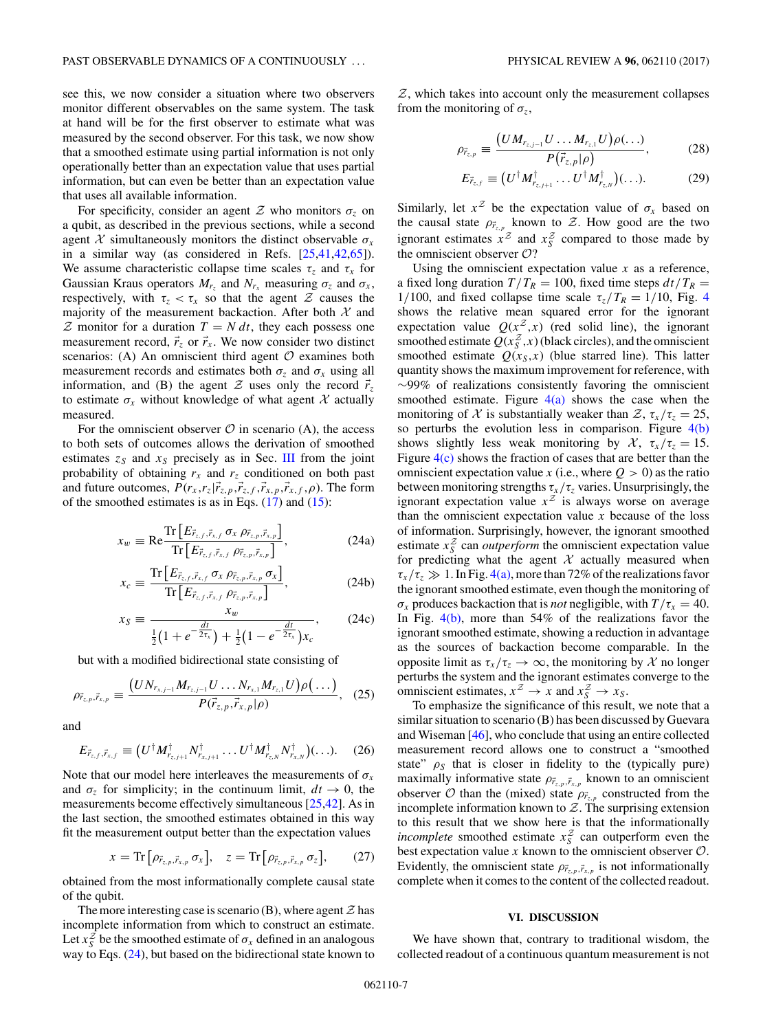<span id="page-6-0"></span>see this, we now consider a situation where two observers monitor different observables on the same system. The task at hand will be for the first observer to estimate what was measured by the second observer. For this task, we now show that a smoothed estimate using partial information is not only operationally better than an expectation value that uses partial information, but can even be better than an expectation value that uses all available information.

For specificity, consider an agent  $\mathcal Z$  who monitors  $\sigma_z$  on a qubit, as described in the previous sections, while a second agent  $X$  simultaneously monitors the distinct observable  $\sigma_x$ in a similar way (as considered in Refs. [\[25](#page-8-0)[,41,42,65\]](#page-9-0)). We assume characteristic collapse time scales  $\tau_z$  and  $\tau_x$  for Gaussian Kraus operators  $M_{r_x}$  and  $N_{r_x}$  measuring  $\sigma_z$  and  $\sigma_x$ , respectively, with  $\tau_z < \tau_x$  so that the agent Z causes the majority of the measurement backaction. After both  $X$  and  $Z$  monitor for a duration  $T = N dt$ , they each possess one measurement record,  $\vec{r}_z$  or  $\vec{r}_x$ . We now consider two distinct scenarios: (A) An omniscient third agent  $O$  examines both measurement records and estimates both  $\sigma_z$  and  $\sigma_x$  using all information, and (B) the agent  $Z$  uses only the record  $\vec{r}_z$ to estimate  $\sigma_x$  without knowledge of what agent X actually measured.

For the omniscient observer  $\mathcal O$  in scenario (A), the access to both sets of outcomes allows the derivation of smoothed estimates  $z_s$  and  $x_s$  precisely as in Sec. [III](#page-3-0) from the joint probability of obtaining  $r_x$  and  $r_z$  conditioned on both past and future outcomes,  $P(r_x, r_z | \vec{r}_{z,p}, \vec{r}_{z,f}, \vec{r}_{x,p}, \vec{r}_{x,f}, \rho)$ . The form of the smoothed estimates is as in Eqs.  $(17)$  and  $(15)$ :

$$
x_w \equiv \text{Re} \frac{\text{Tr}\left[E_{\vec{r}_{z,f},\vec{r}_{x,f}} \sigma_x \rho_{\vec{r}_{z,p},\vec{r}_{x,p}}\right]}{\text{Tr}\left[E_{\vec{r}_{z,f},\vec{r}_{x,f}} \rho_{\vec{r}_{z,p},\vec{r}_{x,p}}\right]},
$$
(24a)

$$
x_c \equiv \frac{\text{Tr}\left[E_{\vec{r}_{z,f},\vec{r}_{x,f}} \sigma_x \rho_{\vec{r}_{z,p},\vec{r}_{x,p}} \sigma_x\right]}{\text{Tr}\left[E_{\vec{r}_{z,f},\vec{r}_{x,f}} \rho_{\vec{r}_{z,p},\vec{r}_{x,p}}\right]},
$$
(24b)

$$
x_S \equiv \frac{x_w}{\frac{1}{2}(1 + e^{-\frac{dt}{2\tau_x}}) + \frac{1}{2}(1 - e^{-\frac{dt}{2\tau_x}})x_c},
$$
 (24c)

but with a modified bidirectional state consisting of

$$
\rho_{\vec{r}_{z,p},\vec{r}_{x,p}} \equiv \frac{\left( U N_{r_{x,j-1}} M_{r_{z,j-1}} U \dots N_{r_{x,1}} M_{r_{z,1}} U \right) \rho \left( \dots \right)}{P(\vec{r}_{z,p},\vec{r}_{x,p}|\rho)}, \quad (25)
$$

and

$$
E_{\vec{r}_{z,f},\vec{r}_{x,f}} \equiv \left(U^{\dagger} M_{\vec{r}_{z,f+1}}^{\dagger} N_{\vec{r}_{x,f+1}}^{\dagger} \dots U^{\dagger} M_{\vec{r}_{z,N}}^{\dagger} N_{\vec{r}_{x,N}}^{\dagger}\right)(\ldots). \tag{26}
$$

Note that our model here interleaves the measurements of  $\sigma_x$ and  $\sigma_z$  for simplicity; in the continuum limit,  $dt \to 0$ , the measurements become effectively simultaneous [\[25,](#page-8-0)[42\]](#page-9-0). As in the last section, the smoothed estimates obtained in this way fit the measurement output better than the expectation values

$$
x = \text{Tr}\left[\rho_{\vec{r}_{z,p},\vec{r}_{x,p}}\,\sigma_x\right], \quad z = \text{Tr}\left[\rho_{\vec{r}_{z,p},\vec{r}_{x,p}}\,\sigma_z\right],\tag{27}
$$

obtained from the most informationally complete causal state of the qubit.

The more interesting case is scenario (B), where agent  $\mathcal Z$  has incomplete information from which to construct an estimate. Let  $x_S^2$  be the smoothed estimate of  $\sigma_x$  defined in an analogous way to Eqs. (24), but based on the bidirectional state known to

 $Z$ , which takes into account only the measurement collapses from the monitoring of  $\sigma_z$ ,

$$
\rho_{\vec{r}_{z,p}} \equiv \frac{(U M_{r_{z,j-1}} U \dots M_{r_{z,1}} U)\rho(\dots)}{P(\vec{r}_{z,p}|\rho)},
$$
(28)

$$
E_{\vec{r}_{z,f}} \equiv (U^{\dagger} M_{\vec{r}_{z,j+1}}^{\dagger} \dots U^{\dagger} M_{\vec{r}_{z,N}}^{\dagger})(\dots). \tag{29}
$$

Similarly, let  $x^2$  be the expectation value of  $\sigma_x$  based on the causal state  $\rho_{\vec{r}_{z,p}}$  known to  $\mathcal{Z}$ . How good are the two ignorant estimates  $x^2$  and  $x^2$  compared to those made by the omniscient observer  $O$ ?

Using the omniscient expectation value  $x$  as a reference, a fixed long duration  $T/T_R = 100$ , fixed time steps  $dt/T_R =$ 1/100, and fixed collapse time scale  $\tau_z/T_R = 1/10$ , Fig. [4](#page-7-0) shows the relative mean squared error for the ignorant expectation value  $Q(x^2, x)$  (red solid line), the ignorant smoothed estimate  $Q(x_S^Z, x)$  (black circles), and the omniscient smoothed estimate  $Q(x_S, x)$  (blue starred line). This latter quantity shows the maximum improvement for reference, with ∼99% of realizations consistently favoring the omniscient smoothed estimate. Figure  $4(a)$  shows the case when the monitoring of X is substantially weaker than  $\mathcal{Z}, \tau_x/\tau_z = 25$ , so perturbs the evolution less in comparison. Figure  $4(b)$ shows slightly less weak monitoring by  $\mathcal{X}$ ,  $\tau_x/\tau_z = 15$ . Figure  $4(c)$  shows the fraction of cases that are better than the omniscient expectation value *x* (i.e., where  $Q > 0$ ) as the ratio between monitoring strengths  $\tau_x/\tau_z$  varies. Unsurprisingly, the ignorant expectation value  $x^Z$  is always worse on average than the omniscient expectation value  $x$  because of the loss of information. Surprisingly, however, the ignorant smoothed estimate  $x_S^2$  can *outperform* the omniscient expectation value for predicting what the agent  $X$  actually measured when  $\tau_x/\tau_z \gg 1$ . In Fig. [4\(a\),](#page-7-0) more than 72% of the realizations favor the ignorant smoothed estimate, even though the monitoring of  $\sigma_x$  produces backaction that is *not* negligible, with  $T/\tau_x = 40$ . In Fig.  $4(b)$ , more than 54% of the realizations favor the ignorant smoothed estimate, showing a reduction in advantage as the sources of backaction become comparable. In the opposite limit as  $\tau_x/\tau_z \to \infty$ , the monitoring by X no longer perturbs the system and the ignorant estimates converge to the omniscient estimates,  $x^Z \rightarrow x$  and  $x_S^Z \rightarrow x_S$ .

To emphasize the significance of this result, we note that a similar situation to scenario (B) has been discussed by Guevara and Wiseman [\[46\]](#page-9-0), who conclude that using an entire collected measurement record allows one to construct a "smoothed state"  $\rho_S$  that is closer in fidelity to the (typically pure) maximally informative state  $\rho_{\vec{r}_{z,p},\vec{r}_{x,p}}$  known to an omniscient observer  $O$  than the (mixed) state  $\rho_{\vec{r}_{z,p}}$  constructed from the incomplete information known to  $Z$ . The surprising extension to this result that we show here is that the informationally *incomplete* smoothed estimate  $x_S^2$  can outperform even the best expectation value  $x$  known to the omniscient observer  $\mathcal{O}$ . Evidently, the omniscient state  $\rho_{\vec{r}_{z,p},\vec{r}_{x,p}}$  is not informationally complete when it comes to the content of the collected readout.

### **VI. DISCUSSION**

We have shown that, contrary to traditional wisdom, the collected readout of a continuous quantum measurement is not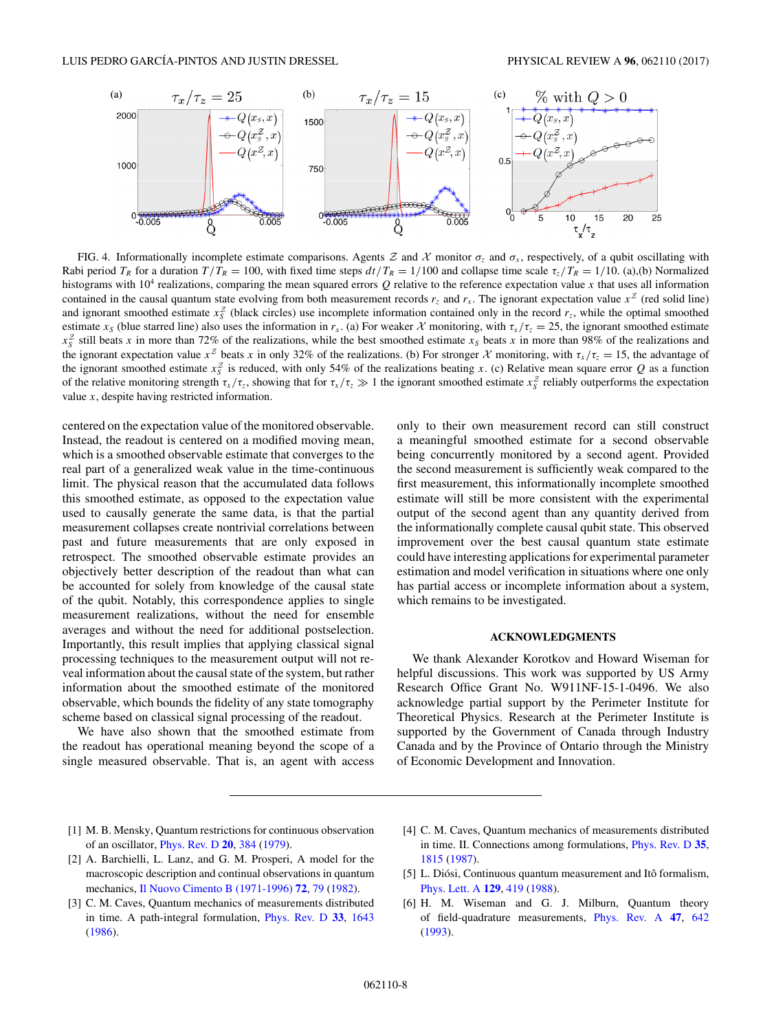<span id="page-7-0"></span>

FIG. 4. Informationally incomplete estimate comparisons. Agents  $Z$  and  $X$  monitor  $\sigma_z$  and  $\sigma_x$ , respectively, of a qubit oscillating with Rabi period  $T_R$  for a duration  $T/T_R = 100$ , with fixed time steps  $dt/T_R = 1/100$  and collapse time scale  $\tau / T_R = 1/10$ . (a),(b) Normalized histograms with 104 realizations, comparing the mean squared errors *Q* relative to the reference expectation value *x* that uses all information contained in the causal quantum state evolving from both measurement records  $r<sub>z</sub>$  and  $r<sub>x</sub>$ . The ignorant expectation value  $x<sup>z</sup>$  (red solid line) and ignorant smoothed estimate  $x_s^2$  (black circles) use incomplete information contained only in the record  $r_z$ , while the optimal smoothed estimate  $x_s$  (blue starred line) also uses the information in  $r_x$ . (a) For weaker X monitoring, with  $\tau_x/\tau_z = 25$ , the ignorant smoothed estimate  $x_5^2$  still beats *x* in more than 72% of the realizations, while the best smoothed estimate  $x_5$  beats *x* in more than 98% of the realizations and the ignorant expectation value  $x^2$  beats x in only 32% of the realizations. (b) For stronger X monitoring, with  $\tau_x/\tau_z = 15$ , the advantage of the ignorant smoothed estimate  $x_S^Z$  is reduced, with only 54% of the realizations beating *x*. (c) Relative mean square error *Q* as a function of the relative monitoring strength  $\tau_x/\tau_z$ , showing that for  $\tau_x/\tau_z \gg 1$  the ignorant smoothed estimate  $x_s^2$  reliably outperforms the expectation value *x*, despite having restricted information.

centered on the expectation value of the monitored observable. Instead, the readout is centered on a modified moving mean, which is a smoothed observable estimate that converges to the real part of a generalized weak value in the time-continuous limit. The physical reason that the accumulated data follows this smoothed estimate, as opposed to the expectation value used to causally generate the same data, is that the partial measurement collapses create nontrivial correlations between past and future measurements that are only exposed in retrospect. The smoothed observable estimate provides an objectively better description of the readout than what can be accounted for solely from knowledge of the causal state of the qubit. Notably, this correspondence applies to single measurement realizations, without the need for ensemble averages and without the need for additional postselection. Importantly, this result implies that applying classical signal processing techniques to the measurement output will not reveal information about the causal state of the system, but rather information about the smoothed estimate of the monitored observable, which bounds the fidelity of any state tomography scheme based on classical signal processing of the readout.

We have also shown that the smoothed estimate from the readout has operational meaning beyond the scope of a single measured observable. That is, an agent with access only to their own measurement record can still construct a meaningful smoothed estimate for a second observable being concurrently monitored by a second agent. Provided the second measurement is sufficiently weak compared to the first measurement, this informationally incomplete smoothed estimate will still be more consistent with the experimental output of the second agent than any quantity derived from the informationally complete causal qubit state. This observed improvement over the best causal quantum state estimate could have interesting applications for experimental parameter estimation and model verification in situations where one only has partial access or incomplete information about a system, which remains to be investigated.

#### **ACKNOWLEDGMENTS**

We thank Alexander Korotkov and Howard Wiseman for helpful discussions. This work was supported by US Army Research Office Grant No. W911NF-15-1-0496. We also acknowledge partial support by the Perimeter Institute for Theoretical Physics. Research at the Perimeter Institute is supported by the Government of Canada through Industry Canada and by the Province of Ontario through the Ministry of Economic Development and Innovation.

- [1] M. B. Mensky, Quantum restrictions for continuous observation of an oscillator, [Phys. Rev. D](https://doi.org/10.1103/PhysRevD.20.384) **[20](https://doi.org/10.1103/PhysRevD.20.384)**, [384](https://doi.org/10.1103/PhysRevD.20.384) [\(1979\)](https://doi.org/10.1103/PhysRevD.20.384).
- [2] A. Barchielli, L. Lanz, and G. M. Prosperi, A model for the macroscopic description and continual observations in quantum mechanics, [Il Nuovo Cimento B \(1971-1996\)](https://doi.org/10.1007/BF02894935) **[72](https://doi.org/10.1007/BF02894935)**, [79](https://doi.org/10.1007/BF02894935) [\(1982\)](https://doi.org/10.1007/BF02894935).
- [3] C. M. Caves, Quantum mechanics of measurements distributed in time. A path-integral formulation, [Phys. Rev. D](https://doi.org/10.1103/PhysRevD.33.1643) **[33](https://doi.org/10.1103/PhysRevD.33.1643)**, [1643](https://doi.org/10.1103/PhysRevD.33.1643) [\(1986\)](https://doi.org/10.1103/PhysRevD.33.1643).
- [4] C. M. Caves, Quantum mechanics of measurements distributed in time. II. Connections among formulations, [Phys. Rev. D](https://doi.org/10.1103/PhysRevD.35.1815) **[35](https://doi.org/10.1103/PhysRevD.35.1815)**, [1815](https://doi.org/10.1103/PhysRevD.35.1815) [\(1987\)](https://doi.org/10.1103/PhysRevD.35.1815).
- [5] L. Diósi, Continuous quantum measurement and Itô formalism, [Phys. Lett. A](https://doi.org/10.1016/0375-9601(88)90309-X) **[129](https://doi.org/10.1016/0375-9601(88)90309-X)**, [419](https://doi.org/10.1016/0375-9601(88)90309-X) [\(1988\)](https://doi.org/10.1016/0375-9601(88)90309-X).
- [6] H. M. Wiseman and G. J. Milburn, Quantum theory of field-quadrature measurements, [Phys. Rev. A](https://doi.org/10.1103/PhysRevA.47.642) **[47](https://doi.org/10.1103/PhysRevA.47.642)**, [642](https://doi.org/10.1103/PhysRevA.47.642) [\(1993\)](https://doi.org/10.1103/PhysRevA.47.642).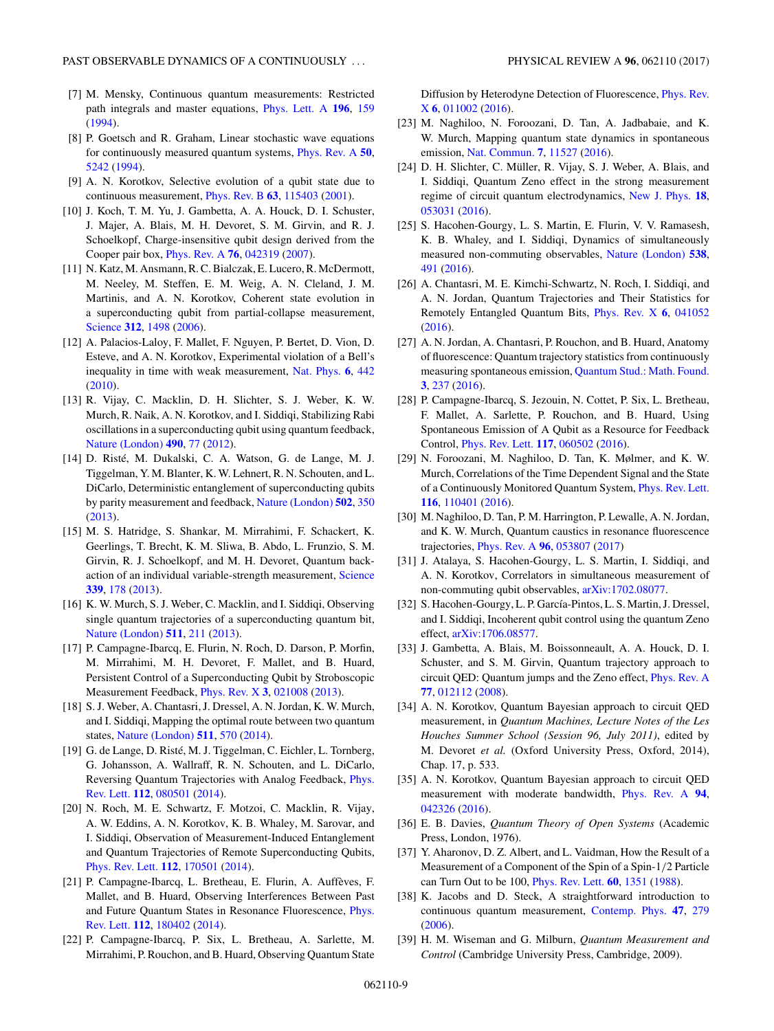- <span id="page-8-0"></span>[7] M. Mensky, Continuous quantum measurements: Restricted path integrals and master equations, [Phys. Lett. A](https://doi.org/10.1016/0375-9601(94)91064-2) **[196](https://doi.org/10.1016/0375-9601(94)91064-2)**, [159](https://doi.org/10.1016/0375-9601(94)91064-2) [\(1994\)](https://doi.org/10.1016/0375-9601(94)91064-2).
- [8] P. Goetsch and R. Graham, Linear stochastic wave equations for continuously measured quantum systems, [Phys. Rev. A](https://doi.org/10.1103/PhysRevA.50.5242) **[50](https://doi.org/10.1103/PhysRevA.50.5242)**, [5242](https://doi.org/10.1103/PhysRevA.50.5242) [\(1994\)](https://doi.org/10.1103/PhysRevA.50.5242).
- [9] A. N. Korotkov, Selective evolution of a qubit state due to continuous measurement, [Phys. Rev. B](https://doi.org/10.1103/PhysRevB.63.115403) **[63](https://doi.org/10.1103/PhysRevB.63.115403)**, [115403](https://doi.org/10.1103/PhysRevB.63.115403) [\(2001\)](https://doi.org/10.1103/PhysRevB.63.115403).
- [10] J. Koch, T. M. Yu, J. Gambetta, A. A. Houck, D. I. Schuster, J. Majer, A. Blais, M. H. Devoret, S. M. Girvin, and R. J. Schoelkopf, Charge-insensitive qubit design derived from the Cooper pair box, [Phys. Rev. A](https://doi.org/10.1103/PhysRevA.76.042319) **[76](https://doi.org/10.1103/PhysRevA.76.042319)**, [042319](https://doi.org/10.1103/PhysRevA.76.042319) [\(2007\)](https://doi.org/10.1103/PhysRevA.76.042319).
- [11] N. Katz, M. Ansmann, R. C. Bialczak, E. Lucero, R. McDermott, M. Neeley, M. Steffen, E. M. Weig, A. N. Cleland, J. M. Martinis, and A. N. Korotkov, Coherent state evolution in a superconducting qubit from partial-collapse measurement, [Science](https://doi.org/10.1126/science.1126475) **[312](https://doi.org/10.1126/science.1126475)**, [1498](https://doi.org/10.1126/science.1126475) [\(2006\)](https://doi.org/10.1126/science.1126475).
- [12] A. Palacios-Laloy, F. Mallet, F. Nguyen, P. Bertet, D. Vion, D. Esteve, and A. N. Korotkov, Experimental violation of a Bell's inequality in time with weak measurement, [Nat. Phys.](https://doi.org/10.1038/nphys1641) **[6](https://doi.org/10.1038/nphys1641)**, [442](https://doi.org/10.1038/nphys1641) [\(2010\)](https://doi.org/10.1038/nphys1641).
- [13] R. Vijay, C. Macklin, D. H. Slichter, S. J. Weber, K. W. Murch, R. Naik, A. N. Korotkov, and I. Siddiqi, Stabilizing Rabi oscillations in a superconducting qubit using quantum feedback, [Nature \(London\)](https://doi.org/10.1038/nature11505) **[490](https://doi.org/10.1038/nature11505)**, [77](https://doi.org/10.1038/nature11505) [\(2012\)](https://doi.org/10.1038/nature11505).
- [14] D. Risté, M. Dukalski, C. A. Watson, G. de Lange, M. J. Tiggelman, Y. M. Blanter, K. W. Lehnert, R. N. Schouten, and L. DiCarlo, Deterministic entanglement of superconducting qubits by parity measurement and feedback, [Nature \(London\)](https://doi.org/10.1038/nature12513) **[502](https://doi.org/10.1038/nature12513)**, [350](https://doi.org/10.1038/nature12513) [\(2013\)](https://doi.org/10.1038/nature12513).
- [15] M. S. Hatridge, S. Shankar, M. Mirrahimi, F. Schackert, K. Geerlings, T. Brecht, K. M. Sliwa, B. Abdo, L. Frunzio, S. M. Girvin, R. J. Schoelkopf, and M. H. Devoret, Quantum backaction of an individual variable-strength measurement, [Science](https://doi.org/10.1126/science.1226897) **[339](https://doi.org/10.1126/science.1226897)**, [178](https://doi.org/10.1126/science.1226897) [\(2013\)](https://doi.org/10.1126/science.1226897).
- [16] K. W. Murch, S. J. Weber, C. Macklin, and I. Siddiqi, Observing single quantum trajectories of a superconducting quantum bit, [Nature \(London\)](https://doi.org/10.1038/nature12539) **[511](https://doi.org/10.1038/nature12539)**, [211](https://doi.org/10.1038/nature12539) [\(2013\)](https://doi.org/10.1038/nature12539).
- [17] P. Campagne-Ibarcq, E. Flurin, N. Roch, D. Darson, P. Morfin, M. Mirrahimi, M. H. Devoret, F. Mallet, and B. Huard, Persistent Control of a Superconducting Qubit by Stroboscopic Measurement Feedback, [Phys. Rev. X](https://doi.org/10.1103/PhysRevX.3.021008) **[3](https://doi.org/10.1103/PhysRevX.3.021008)**, [021008](https://doi.org/10.1103/PhysRevX.3.021008) [\(2013\)](https://doi.org/10.1103/PhysRevX.3.021008).
- [18] S. J. Weber, A. Chantasri, J. Dressel, A. N. Jordan, K. W. Murch, and I. Siddiqi, Mapping the optimal route between two quantum states, [Nature \(London\)](https://doi.org/10.1038/nature13559) **[511](https://doi.org/10.1038/nature13559)**, [570](https://doi.org/10.1038/nature13559) [\(2014\)](https://doi.org/10.1038/nature13559).
- [19] G. de Lange, D. Risté, M. J. Tiggelman, C. Eichler, L. Tornberg, G. Johansson, A. Wallraff, R. N. Schouten, and L. DiCarlo, [Reversing Quantum Trajectories with Analog Feedback,](https://doi.org/10.1103/PhysRevLett.112.080501) Phys. Rev. Lett. **[112](https://doi.org/10.1103/PhysRevLett.112.080501)**, [080501](https://doi.org/10.1103/PhysRevLett.112.080501) [\(2014\)](https://doi.org/10.1103/PhysRevLett.112.080501).
- [20] N. Roch, M. E. Schwartz, F. Motzoi, C. Macklin, R. Vijay, A. W. Eddins, A. N. Korotkov, K. B. Whaley, M. Sarovar, and I. Siddiqi, Observation of Measurement-Induced Entanglement and Quantum Trajectories of Remote Superconducting Qubits, [Phys. Rev. Lett.](https://doi.org/10.1103/PhysRevLett.112.170501) **[112](https://doi.org/10.1103/PhysRevLett.112.170501)**, [170501](https://doi.org/10.1103/PhysRevLett.112.170501) [\(2014\)](https://doi.org/10.1103/PhysRevLett.112.170501).
- [21] P. Campagne-Ibarcq, L. Bretheau, E. Flurin, A. Auffèves, F. Mallet, and B. Huard, Observing Interferences Between Past [and Future Quantum States in Resonance Fluorescence,](https://doi.org/10.1103/PhysRevLett.112.180402) Phys. Rev. Lett. **[112](https://doi.org/10.1103/PhysRevLett.112.180402)**, [180402](https://doi.org/10.1103/PhysRevLett.112.180402) [\(2014\)](https://doi.org/10.1103/PhysRevLett.112.180402).
- [22] P. Campagne-Ibarcq, P. Six, L. Bretheau, A. Sarlette, M. Mirrahimi, P. Rouchon, and B. Huard, Observing Quantum State

[Diffusion by Heterodyne Detection of Fluorescence,](https://doi.org/10.1103/PhysRevX.6.011002) Phys. Rev. X **[6](https://doi.org/10.1103/PhysRevX.6.011002)**, [011002](https://doi.org/10.1103/PhysRevX.6.011002) [\(2016\)](https://doi.org/10.1103/PhysRevX.6.011002).

- [23] M. Naghiloo, N. Foroozani, D. Tan, A. Jadbabaie, and K. W. Murch, Mapping quantum state dynamics in spontaneous emission, [Nat. Commun.](https://doi.org/10.1038/ncomms11527) **[7](https://doi.org/10.1038/ncomms11527)**, [11527](https://doi.org/10.1038/ncomms11527) [\(2016\)](https://doi.org/10.1038/ncomms11527).
- [24] D. H. Slichter, C. Müller, R. Vijay, S. J. Weber, A. Blais, and I. Siddiqi, Quantum Zeno effect in the strong measurement regime of circuit quantum electrodynamics, [New J. Phys.](https://doi.org/10.1088/1367-2630/18/5/053031) **[18](https://doi.org/10.1088/1367-2630/18/5/053031)**, [053031](https://doi.org/10.1088/1367-2630/18/5/053031) [\(2016\)](https://doi.org/10.1088/1367-2630/18/5/053031).
- [25] S. Hacohen-Gourgy, L. S. Martin, E. Flurin, V. V. Ramasesh, K. B. Whaley, and I. Siddiqi, Dynamics of simultaneously measured non-commuting observables, [Nature \(London\)](https://doi.org/10.1038/nature19762) **[538](https://doi.org/10.1038/nature19762)**, [491](https://doi.org/10.1038/nature19762) [\(2016\)](https://doi.org/10.1038/nature19762).
- [26] A. Chantasri, M. E. Kimchi-Schwartz, N. Roch, I. Siddiqi, and A. N. Jordan, Quantum Trajectories and Their Statistics for Remotely Entangled Quantum Bits, [Phys. Rev. X](https://doi.org/10.1103/PhysRevX.6.041052) **[6](https://doi.org/10.1103/PhysRevX.6.041052)**, [041052](https://doi.org/10.1103/PhysRevX.6.041052) [\(2016\)](https://doi.org/10.1103/PhysRevX.6.041052).
- [27] A. N. Jordan, A. Chantasri, P. Rouchon, and B. Huard, Anatomy of fluorescence: Quantum trajectory statistics from continuously measuring spontaneous emission, [Quantum Stud.: Math. Found.](https://doi.org/10.1007/s40509-016-0075-9) **[3](https://doi.org/10.1007/s40509-016-0075-9)**, [237](https://doi.org/10.1007/s40509-016-0075-9) [\(2016\)](https://doi.org/10.1007/s40509-016-0075-9).
- [28] P. Campagne-Ibarcq, S. Jezouin, N. Cottet, P. Six, L. Bretheau, F. Mallet, A. Sarlette, P. Rouchon, and B. Huard, Using Spontaneous Emission of A Qubit as a Resource for Feedback Control, [Phys. Rev. Lett.](https://doi.org/10.1103/PhysRevLett.117.060502) **[117](https://doi.org/10.1103/PhysRevLett.117.060502)**, [060502](https://doi.org/10.1103/PhysRevLett.117.060502) [\(2016\)](https://doi.org/10.1103/PhysRevLett.117.060502).
- [29] N. Foroozani, M. Naghiloo, D. Tan, K. Mølmer, and K. W. Murch, Correlations of the Time Dependent Signal and the State of a Continuously Monitored Quantum System, [Phys. Rev. Lett.](https://doi.org/10.1103/PhysRevLett.116.110401) **[116](https://doi.org/10.1103/PhysRevLett.116.110401)**, [110401](https://doi.org/10.1103/PhysRevLett.116.110401) [\(2016\)](https://doi.org/10.1103/PhysRevLett.116.110401).
- [30] M. Naghiloo, D. Tan, P. M. Harrington, P. Lewalle, A. N. Jordan, and K. W. Murch, Quantum caustics in resonance fluorescence trajectories, [Phys. Rev. A](https://doi.org/10.1103/PhysRevA.96.053807) **[96](https://doi.org/10.1103/PhysRevA.96.053807)**, [053807](https://doi.org/10.1103/PhysRevA.96.053807) [\(2017\)](https://doi.org/10.1103/PhysRevA.96.053807)
- [31] J. Atalaya, S. Hacohen-Gourgy, L. S. Martin, I. Siddiqi, and A. N. Korotkov, Correlators in simultaneous measurement of non-commuting qubit observables, [arXiv:1702.08077.](http://arxiv.org/abs/arXiv:1702.08077)
- [32] S. Hacohen-Gourgy, L. P. García-Pintos, L. S. Martin, J. Dressel, and I. Siddiqi, Incoherent qubit control using the quantum Zeno effect, [arXiv:1706.08577.](http://arxiv.org/abs/arXiv:1706.08577)
- [33] J. Gambetta, A. Blais, M. Boissonneault, A. A. Houck, D. I. Schuster, and S. M. Girvin, Quantum trajectory approach to circuit QED: Quantum jumps and the Zeno effect, [Phys. Rev. A](https://doi.org/10.1103/PhysRevA.77.012112) **[77](https://doi.org/10.1103/PhysRevA.77.012112)**, [012112](https://doi.org/10.1103/PhysRevA.77.012112) [\(2008\)](https://doi.org/10.1103/PhysRevA.77.012112).
- [34] A. N. Korotkov, Quantum Bayesian approach to circuit QED measurement, in *Quantum Machines, Lecture Notes of the Les Houches Summer School (Session 96, July 2011)*, edited by M. Devoret *et al.* (Oxford University Press, Oxford, 2014), Chap. 17, p. 533.
- [35] A. N. Korotkov, Quantum Bayesian approach to circuit QED measurement with moderate bandwidth, [Phys. Rev. A](https://doi.org/10.1103/PhysRevA.94.042326) **[94](https://doi.org/10.1103/PhysRevA.94.042326)**, [042326](https://doi.org/10.1103/PhysRevA.94.042326) [\(2016\)](https://doi.org/10.1103/PhysRevA.94.042326).
- [36] E. B. Davies, *Quantum Theory of Open Systems* (Academic Press, London, 1976).
- [37] Y. Aharonov, D. Z. Albert, and L. Vaidman, How the Result of a Measurement of a Component of the Spin of a Spin-1*/*2 Particle can Turn Out to be 100, [Phys. Rev. Lett.](https://doi.org/10.1103/PhysRevLett.60.1351) **[60](https://doi.org/10.1103/PhysRevLett.60.1351)**, [1351](https://doi.org/10.1103/PhysRevLett.60.1351) [\(1988\)](https://doi.org/10.1103/PhysRevLett.60.1351).
- [38] K. Jacobs and D. Steck, A straightforward introduction to continuous quantum measurement, [Contemp. Phys.](https://doi.org/10.1080/00107510601101934) **[47](https://doi.org/10.1080/00107510601101934)**, [279](https://doi.org/10.1080/00107510601101934) [\(2006\)](https://doi.org/10.1080/00107510601101934).
- [39] H. M. Wiseman and G. Milburn, *Quantum Measurement and Control* (Cambridge University Press, Cambridge, 2009).